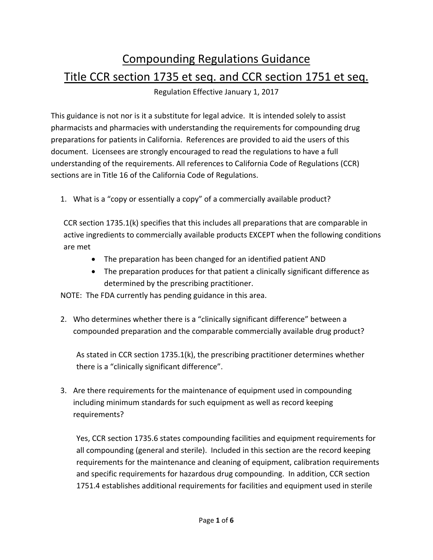## Compounding Regulations Guidance Title CCR section 1735 et seq. and CCR section 1751 et seq.

Regulation Effective January 1, 2017

 This guidance is not nor is it a substitute for legal advice. It is intended solely to assist pharmacists and pharmacies with understanding the requirements for compounding drug preparations for patients in California. References are provided to aid the users of this document. Licensees are strongly encouraged to read the regulations to have a full understanding of the requirements. All references to California Code of Regulations (CCR) sections are in Title 16 of the California Code of Regulations.

1. What is a "copy or essentially a copy" of a commercially available product?

 CCR section 1735.1(k) specifies that this includes all preparations that are comparable in active ingredients to commercially available products EXCEPT when the following conditions are met

- The preparation has been changed for an identified patient AND
- The preparation produces for that patient a clinically significant difference as determined by the prescribing practitioner.

NOTE: The FDA currently has pending guidance in this area.

2. Who determines whether there is a "clinically significant difference" between a compounded preparation and the comparable commercially available drug product?

 As stated in CCR section 1735.1(k), the prescribing practitioner determines whether there is a "clinically significant difference".

3. Are there requirements for the maintenance of equipment used in compounding including minimum standards for such equipment as well as record keeping requirements?

 Yes, CCR section 1735.6 states compounding facilities and equipment requirements for all compounding (general and sterile). Included in this section are the record keeping requirements for the maintenance and cleaning of equipment, calibration requirements and specific requirements for hazardous drug compounding. In addition, CCR section 1751.4 establishes additional requirements for facilities and equipment used in sterile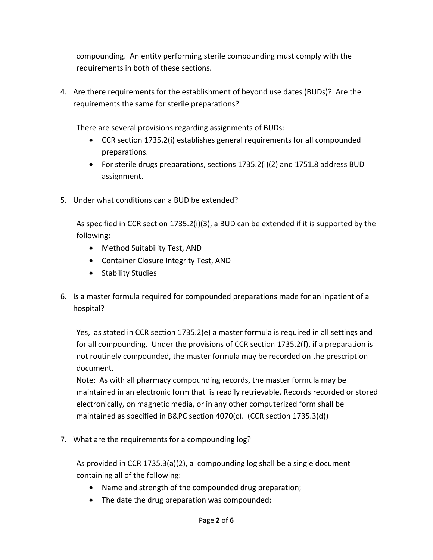compounding. An entity performing sterile compounding must comply with the requirements in both of these sections.

4. Are there requirements for the establishment of beyond use dates (BUDs)? Are the requirements the same for sterile preparations?

There are several provisions regarding assignments of BUDs:

- CCR section 1735.2(i) establishes general requirements for all compounded preparations.
- For sterile drugs preparations, sections 1735.2(i)(2) and 1751.8 address BUD assignment.
- 5. Under what conditions can a BUD be extended?

 As specified in CCR section 1735.2(i)(3), a BUD can be extended if it is supported by the following:

- Method Suitability Test, AND
- Container Closure Integrity Test, AND
- Stability Studies
- 6. Is a master formula required for compounded preparations made for an inpatient of a hospital?

 Yes, as stated in CCR section 1735.2(e) a master formula is required in all settings and for all compounding. Under the provisions of CCR section 1735.2(f), if a preparation is not routinely compounded, the master formula may be recorded on the prescription document.

 Note: As with all pharmacy compounding records, the master formula may be maintained in an electronic form that is readily retrievable. Records recorded or stored electronically, on magnetic media, or in any other computerized form shall be maintained as specified in B&PC section 4070(c). (CCR section 1735.3(d))

7. What are the requirements for a compounding log?

 As provided in CCR 1735.3(a)(2), a compounding log shall be a single document containing all of the following:

- Name and strength of the compounded drug preparation;
- The date the drug preparation was compounded;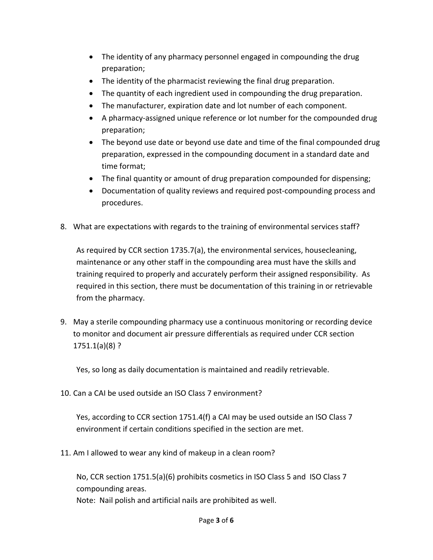- The identity of any pharmacy personnel engaged in compounding the drug preparation;
- The identity of the pharmacist reviewing the final drug preparation.
- The quantity of each ingredient used in compounding the drug preparation.
- The manufacturer, expiration date and lot number of each component.
- A pharmacy-assigned unique reference or lot number for the compounded drug preparation;
- The beyond use date or beyond use date and time of the final compounded drug preparation, expressed in the compounding document in a standard date and time format;
- The final quantity or amount of drug preparation compounded for dispensing;
- Documentation of quality reviews and required post-compounding process and procedures.
- 8. What are expectations with regards to the training of environmental services staff?

 As required by CCR section 1735.7(a), the environmental services, housecleaning, maintenance or any other staff in the compounding area must have the skills and training required to properly and accurately perform their assigned responsibility. As required in this section, there must be documentation of this training in or retrievable from the pharmacy.

9. May a sterile compounding pharmacy use a continuous monitoring or recording device to monitor and document air pressure differentials as required under CCR section 1751.1(a)(8) ?

Yes, so long as daily documentation is maintained and readily retrievable.

10. Can a CAI be used outside an ISO Class 7 environment?

 Yes, according to CCR section 1751.4(f) a CAI may be used outside an ISO Class 7 environment if certain conditions specified in the section are met.

11. Am I allowed to wear any kind of makeup in a clean room?

 No, CCR section 1751.5(a)(6) prohibits cosmetics in ISO Class 5 and ISO Class 7 compounding areas.

Note: Nail polish and artificial nails are prohibited as well.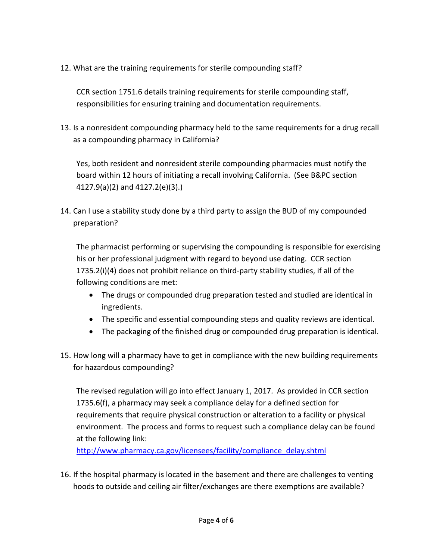12. What are the training requirements for sterile compounding staff?

 CCR section 1751.6 details training requirements for sterile compounding staff, responsibilities for ensuring training and documentation requirements.

 13. Is a nonresident compounding pharmacy held to the same requirements for a drug recall as a compounding pharmacy in California?

 Yes, both resident and nonresident sterile compounding pharmacies must notify the board within 12 hours of initiating a recall involving California. (See B&PC section 4127.9(a)(2) and 4127.2(e)(3).)

 14. Can I use a stability study done by a third party to assign the BUD of my compounded preparation?

 The pharmacist performing or supervising the compounding is responsible for exercising his or her professional judgment with regard to beyond use dating. CCR section 1735.2(i)(4) does not prohibit reliance on third‐party stability studies, if all of the following conditions are met:

- The drugs or compounded drug preparation tested and studied are identical in ingredients.
- The specific and essential compounding steps and quality reviews are identical.
- The packaging of the finished drug or compounded drug preparation is identical.
- 15. How long will a pharmacy have to get in compliance with the new building requirements for hazardous compounding?

 The revised regulation will go into effect January 1, 2017. As provided in CCR section 1735.6(f), a pharmacy may seek a compliance delay for a defined section for requirements that require physical construction or alteration to a facility or physical environment. The process and forms to request such a compliance delay can be found at the following link:

http://www.pharmacy.ca.gov/licensees/facility/compliance\_delay.shtml

 16. If the hospital pharmacy is located in the basement and there are challenges to venting hoods to outside and ceiling air filter/exchanges are there exemptions are available?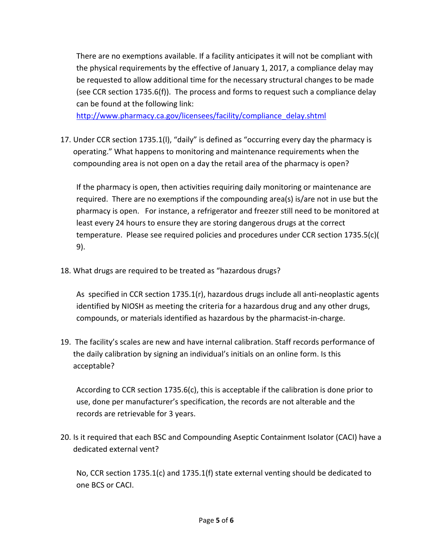There are no exemptions available. If a facility anticipates it will not be compliant with the physical requirements by the effective of January 1, 2017, a compliance delay may be requested to allow additional time for the necessary structural changes to be made (see CCR section 1735.6(f)). The process and forms to request such a compliance delay can be found at the following link:

http://www.pharmacy.ca.gov/licensees/facility/compliance\_delay.shtml

 17. Under CCR section 1735.1(l), "daily" is defined as "occurring every day the pharmacy is operating." What happens to monitoring and maintenance requirements when the compounding area is not open on a day the retail area of the pharmacy is open?

 If the pharmacy is open, then activities requiring daily monitoring or maintenance are required. There are no exemptions if the compounding area(s) is/are not in use but the pharmacy is open. For instance, a refrigerator and freezer still need to be monitored at least every 24 hours to ensure they are storing dangerous drugs at the correct temperature. Please see required policies and procedures under CCR section 1735.5(c)( 9).

18. What drugs are required to be treated as "hazardous drugs?

 As specified in CCR section 1735.1(r), hazardous drugs include all anti‐neoplastic agents identified by NIOSH as meeting the criteria for a hazardous drug and any other drugs, compounds, or materials identified as hazardous by the pharmacist‐in‐charge.

 19. The facility's scales are new and have internal calibration. Staff records performance of the daily calibration by signing an individual's initials on an online form. Is this acceptable?

 According to CCR section 1735.6(c), this is acceptable if the calibration is done prior to use, done per manufacturer's specification, the records are not alterable and the records are retrievable for 3 years.

 20. Is it required that each BSC and Compounding Aseptic Containment Isolator (CACI) have a dedicated external vent?

 No, CCR section 1735.1(c) and 1735.1(f) state external venting should be dedicated to one BCS or CACI.